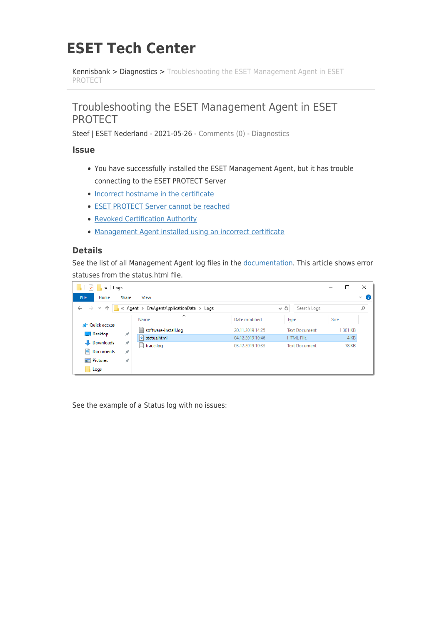# **ESET Tech Center**

[Kennisbank](https://techcenter.eset.nl/nl/kb) > [Diagnostics](https://techcenter.eset.nl/nl/kb/diagnostics-2) > [Troubleshooting the ESET Management Agent in ESET](https://techcenter.eset.nl/nl/kb/articles/troubleshooting-the-eset-management-agent-in-eset-protect) [PROTECT](https://techcenter.eset.nl/nl/kb/articles/troubleshooting-the-eset-management-agent-in-eset-protect)

## Troubleshooting the ESET Management Agent in ESET PROTECT

Steef | ESET Nederland - 2021-05-26 - [Comments \(0\)](#page--1-0) - [Diagnostics](https://techcenter.eset.nl/nl/kb/diagnostics-2)

#### **Issue**

- You have successfully installed the ESET Management Agent, but it has trouble connecting to the ESET PROTECT Server
- [Incorrect hostname in the certificate](https://techcenter.eset.nl/en/kb/articles/troubleshooting-the-eset-management-agent-in-eset-protect#anchor-4)
- [ESET PROTECT Server cannot be reached](https://techcenter.eset.nl/en/kb/articles/troubleshooting-the-eset-management-agent-in-eset-protect#anchor-5)
- [Revoked Certification Authority](https://techcenter.eset.nl/en/kb/articles/troubleshooting-the-eset-management-agent-in-eset-protect#anchor-6)
- [Management Agent installed using an incorrect certificate](https://techcenter.eset.nl/en/kb/articles/troubleshooting-the-eset-management-agent-in-eset-protect#anchor-7)

### **Details**

See the list of all Management Agent log files in the [documentation](http://help.eset.com/getHelp?product=protect_admin&version=latest&lang=en-US&topic=fs_agent_connection_troubleshooting). This article shows error statuses from the status.html file.

| $\overline{z}$ Logs                                                                                             |               |                                 |                  |                      |             | X            |                   |
|-----------------------------------------------------------------------------------------------------------------|---------------|---------------------------------|------------------|----------------------|-------------|--------------|-------------------|
| File<br>Home                                                                                                    | Share         | View                            |                  |                      |             |              | Œ<br>$\checkmark$ |
| « Agent > EraAgentApplicationData > Logs<br>V Ō<br>Search Logs<br>$\leftarrow$<br>$\rightarrow$<br>$\checkmark$ |               |                                 |                  |                      |             | ٩            |                   |
| <b>A</b> Quick access                                                                                           |               | $\widehat{\phantom{a}}$<br>Name | Date modified    | Type                 | <b>Size</b> |              |                   |
| $\Box$ Desktop                                                                                                  | À             | software-install.log<br>目       | 20.11.2019 14:25 | <b>Text Document</b> |             | 301 KB       |                   |
|                                                                                                                 |               | $ e $ status.html               | 04.12.2019 10:46 | <b>HTML File</b>     |             | 4 KB         |                   |
| Downloads                                                                                                       | À             | E<br>trace.log                  | 03.12.2019 10:33 | <b>Text Document</b> |             | <b>78 KB</b> |                   |
| Documents                                                                                                       | À             |                                 |                  |                      |             |              |                   |
| $\blacksquare$ Pictures                                                                                         | $\mathcal{R}$ |                                 |                  |                      |             |              |                   |
| Logs                                                                                                            |               |                                 |                  |                      |             |              |                   |

See the example of a Status log with no issues: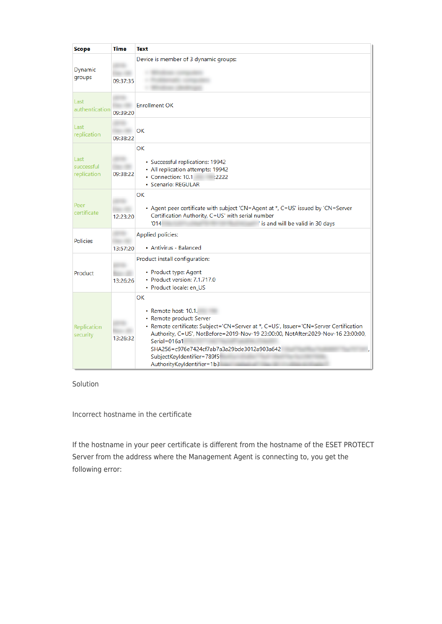| <b>Scope</b>                      | Time     | <b>Text</b>                                                                                                                                                                                                                                                                                                                                                   |
|-----------------------------------|----------|---------------------------------------------------------------------------------------------------------------------------------------------------------------------------------------------------------------------------------------------------------------------------------------------------------------------------------------------------------------|
| Dynamic<br>groups                 | 09:37:35 | Device is member of 3 dynamic groups:                                                                                                                                                                                                                                                                                                                         |
| Last<br>authentication            | 09:39:20 | <b>Enrollment OK</b>                                                                                                                                                                                                                                                                                                                                          |
| Last<br>replication               | 09:38:22 | OK                                                                                                                                                                                                                                                                                                                                                            |
| Last<br>successful<br>replication | 09:38:22 | <b>OK</b><br>• Successful replications: 19942<br>• All replication attempts: 19942<br>• Connection: 10.1<br>:2222<br>• Scenario: REGULAR                                                                                                                                                                                                                      |
| Peer<br>certificate               | 12:23:20 | ОΚ<br>• Agent peer certificate with subject 'CN=Agent at *, C=US' issued by 'CN=Server<br>Certification Authority, C=US' with serial number<br>'014<br>' is and will be valid in 30 days                                                                                                                                                                      |
| <b>Policies</b>                   | 13:57:20 | Applied policies:<br>• Antivirus - Balanced                                                                                                                                                                                                                                                                                                                   |
| Product                           | 13:26:26 | Product install configuration:<br>• Product type: Agent<br>• Product version: 7.1.717.0<br>• Product locale: en_US                                                                                                                                                                                                                                            |
| Replication<br>security           | 13:26:32 | OK<br>• Remote host: 10.1.<br>• Remote product: Server<br>• Remote certificate: Subject='CN=Server at *, C=US', Issuer='CN=Server Certification<br>Authority, C=US', NotBefore=2019-Nov-19 23:00:00, NotAfter:2029-Nov-16 23:00:00,<br>Serial=016a1<br>SHA256=c976e7424cf7ab7a3a29bde3012a903a642<br>SubjectKeyIdentifier=789f5<br>AuthorityKeyIdentifier=1b3 |

#### Solution

Incorrect hostname in the certificate

If the hostname in your peer certificate is different from the hostname of the ESET PROTECT Server from the address where the Management Agent is connecting to, you get the following error: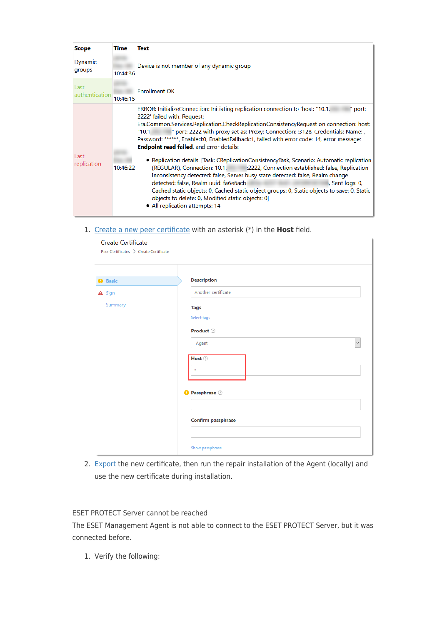| <b>Scope</b>           | Time     | <b>Text</b>                                                                                                                                                                                                                                                                                                                                                                                                                                                                                                         |
|------------------------|----------|---------------------------------------------------------------------------------------------------------------------------------------------------------------------------------------------------------------------------------------------------------------------------------------------------------------------------------------------------------------------------------------------------------------------------------------------------------------------------------------------------------------------|
| Dynamic<br>groups      | 10:44:36 | Device is not member of any dynamic group                                                                                                                                                                                                                                                                                                                                                                                                                                                                           |
| Last<br>authentication | 10:46:15 | <b>Enrollment OK</b>                                                                                                                                                                                                                                                                                                                                                                                                                                                                                                |
|                        |          | ERROR: InitializeConnection: Initiating replication connection to 'host: "10.1.<br>" port:<br>2222' failed with: Request:<br>Era.Common.Services.Replication.CheckReplicationConsistencyRequest on connection: host:<br>" port: 2222 with proxy set as: Proxy: Connection: : 3128, Credentials: Name: ,<br>"10.1"<br>Password: ******, Enabled:0, EnabledFallback:1, failed with error code: 14, error message:<br><b>Endpoint read failed, and error details:</b>                                                  |
| Last<br>replication    | 10:46:22 | • Replication details: [Task: CReplicationConsistencyTask, Scenario: Automatic replication<br>(REGULAR), Connection: 10.1.<br>:2222, Connection established: false, Replication<br>inconsistency detected: false, Server busy state detected: false, Realm change<br>detected: false, Realm uuid: fa6e6acb<br>, Sent logs: 0,<br>Cached static objects: 0, Cached static object groups: 0, Static objects to save: 0, Static<br>objects to delete: 0, Modified static objects: 0]<br>• All replication attempts: 14 |

1. [Create a new peer certificate](https://help.eset.com/protect_admin/latest/en-US/?certificates_certificate_era.html) with an asterisk (\*) in the **Host** field.

| Create Certificate<br>Peer Certificates > Create Certificate |                              |
|--------------------------------------------------------------|------------------------------|
| <b>O</b> Basic                                               | <b>Description</b>           |
| A Sign                                                       | Another certificate          |
| Summary                                                      | <b>Tags</b>                  |
|                                                              | Select tags                  |
|                                                              | Product 2                    |
|                                                              | Agent<br>$\checkmark$        |
|                                                              | Host <b>O</b><br>$\dot{\pi}$ |
|                                                              | <b>O</b> Passphrase 2        |
|                                                              |                              |
|                                                              | <b>Confirm passphrase</b>    |
|                                                              |                              |
|                                                              | Show passphrase              |

2. [Export](https://help.eset.com/protect_admin/latest/en-US/?export_certificate.html) the new certificate, then run the repair installation of the Agent (locally) and use the new certificate during installation.

ESET PROTECT Server cannot be reached

The ESET Management Agent is not able to connect to the ESET PROTECT Server, but it was connected before.

1. Verify the following: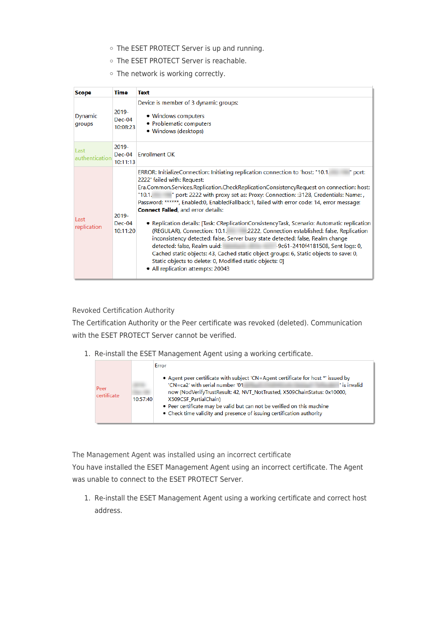- o The ESET PROTECT Server is up and running.
- o The ESET PROTECT Server is reachable.
- o The network is working correctly.

| <b>Scope</b>           | Time                             | <b>Text</b>                                                                                                                                                                                                                                                                                                                                                                                                                                                                                                                                                                                                                                                                                                                                                                                                                                                                                                                                                                                      |  |
|------------------------|----------------------------------|--------------------------------------------------------------------------------------------------------------------------------------------------------------------------------------------------------------------------------------------------------------------------------------------------------------------------------------------------------------------------------------------------------------------------------------------------------------------------------------------------------------------------------------------------------------------------------------------------------------------------------------------------------------------------------------------------------------------------------------------------------------------------------------------------------------------------------------------------------------------------------------------------------------------------------------------------------------------------------------------------|--|
| Dynamic<br>groups      | $2019 -$<br>$Dec-04$<br>10:08:23 | Device is member of 3 dynamic groups:<br>• Windows computers<br>• Problematic computers<br>• Windows (desktops)                                                                                                                                                                                                                                                                                                                                                                                                                                                                                                                                                                                                                                                                                                                                                                                                                                                                                  |  |
| Last<br>authentication | 2019-<br>$Dec-04$<br>10:11:13    | <b>Enrollment OK</b>                                                                                                                                                                                                                                                                                                                                                                                                                                                                                                                                                                                                                                                                                                                                                                                                                                                                                                                                                                             |  |
| Last<br>replication    | 2019-<br>$Dec-04$<br>10:11:20    | ERROR: InitializeConnection: Initiating replication connection to 'host: "10.1.<br>" port:<br>2222' failed with: Request:<br>Era.Common.Services.Replication.CheckReplicationConsistencyRequest on connection: host:<br>" port: 2222 with proxy set as: Proxy: Connection: :3128, Credentials: Name: ,<br>"10.1.<br>Password: ******, Enabled:0, EnabledFallback:1, failed with error code: 14, error message:<br><b>Connect Failed</b> , and error details:<br>• Replication details: [Task: CReplicationConsistencyTask, Scenario: Automatic replication<br>(REGULAR), Connection: 10.1.<br>:2222, Connection established: false, Replication<br>inconsistency detected: false, Server busy state detected: false, Realm change<br>detected: false, Realm uuid:<br>-9c61-2410f4181508, Sent logs: 0,<br>Cached static objects: 43, Cached static object groups: 6, Static objects to save: 0,<br>Static objects to delete: 0, Modified static objects: 0]<br>• All replication attempts: 20043 |  |

Revoked Certification Authority

The Certification Authority or the Peer certificate was revoked (deleted). Communication with the ESET PROTECT Server cannot be verified.

1. Re-install the ESET Management Agent using a working certificate.

| Peer<br>certificate |          | Error                                                                             |  |  |  |  |
|---------------------|----------|-----------------------------------------------------------------------------------|--|--|--|--|
|                     |          | • Agent peer certificate with subject 'CN=Agent certificate for host *' issued by |  |  |  |  |
|                     |          | 'CN=ca2' with serial number '01<br>' is invalid                                   |  |  |  |  |
|                     |          | now (NodVerifyTrustResult: 42, NVT NotTrusted, X509ChainStatus: 0x10000,          |  |  |  |  |
|                     | 10:57:40 | X509CSF PartialChain)                                                             |  |  |  |  |
|                     |          | • Peer certificate may be valid but can not be verified on this machine           |  |  |  |  |
|                     |          | • Check time validity and presence of issuing certification authority             |  |  |  |  |
|                     |          |                                                                                   |  |  |  |  |

The Management Agent was installed using an incorrect certificate

You have installed the ESET Management Agent using an incorrect certificate. The Agent was unable to connect to the ESET PROTECT Server.

1. Re-install the ESET Management Agent using a working certificate and correct host address.